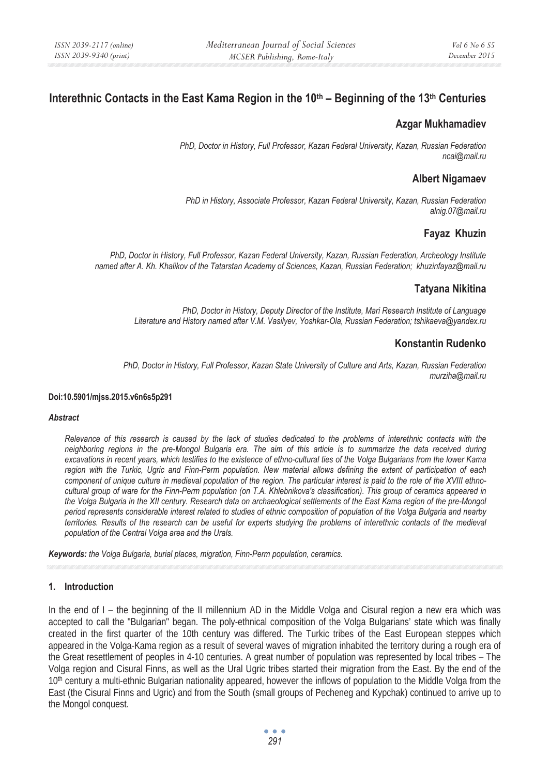# **Interethnic Contacts in the East Kama Region in the 10<sup>th</sup> – Beginning of the 13<sup>th</sup> Centuries**

## **Azgar Mukhamadiev**

*PhD, Doctor in History, Full Professor, Kazan Federal University, Kazan, Russian Federation ncai@mail.ru* 

## **Albert Nigamaev**

*PhD in History, Associate Professor, Kazan Federal University, Kazan, Russian Federation alnig.07@mail.ru* 

## **Fayaz Khuzin**

*PhD, Doctor in History, Full Professor, Kazan Federal University, Kazan, Russian Federation, Archeology Institute named after A. Kh. Khalikov of the Tatarstan Academy of Sciences, Kazan, Russian Federation; khuzinfayaz@mail.ru* 

## **Tatyana Nikitina**

*PhD, Doctor in History, Deputy Director of the Institute, Mari Research Institute of Language Literature and History named after V.M. Vasilyev, Yoshkar-Ola, Russian Federation; tshikaeva@yandex.ru* 

## **Konstantin Rudenko**

*PhD, Doctor in History, Full Professor, Kazan State University of Culture and Arts, Kazan, Russian Federation murziha@mail.ru* 

#### **Doi:10.5901/mjss.2015.v6n6s5p291**

#### *Abstract*

*Relevance of this research is caused by the lack of studies dedicated to the problems of interethnic contacts with the neighboring regions in the pre-Mongol Bulgaria era. The aim of this article is to summarize the data received during excavations in recent years, which testifies to the existence of ethno-cultural ties of the Volga Bulgarians from the lower Kama region with the Turkic, Ugric and Finn-Perm population. New material allows defining the extent of participation of each component of unique culture in medieval population of the region. The particular interest is paid to the role of the XVIII ethnocultural group of ware for the Finn-Perm population (on T.A. Khlebnikova's classification). This group of ceramics appeared in*  the Volga Bulgaria in the XII century. Research data on archaeological settlements of the East Kama region of the pre-Mongol *period represents considerable interest related to studies of ethnic composition of population of the Volga Bulgaria and nearby territories. Results of the research can be useful for experts studying the problems of interethnic contacts of the medieval population of the Central Volga area and the Urals.* 

*Keywords: the Volga Bulgaria, burial places, migration, Finn-Perm population, ceramics.* 

### **1. Introduction**

In the end of I – the beginning of the II millennium AD in the Middle Volga and Cisural region a new era which was accepted to call the "Bulgarian" began. The poly-ethnical composition of the Volga Bulgarians' state which was finally created in the first quarter of the 10th century was differed. The Turkic tribes of the East European steppes which appeared in the Volga-Kama region as a result of several waves of migration inhabited the territory during a rough era of the Great resettlement of peoples in 4-10 centuries. A great number of population was represented by local tribes – The Volga region and Cisural Finns, as well as the Ural Ugric tribes started their migration from the East. By the end of the 10<sup>th</sup> century a multi-ethnic Bulgarian nationality appeared, however the inflows of population to the Middle Volga from the East (the Cisural Finns and Ugric) and from the South (small groups of Pecheneg and Kypchak) continued to arrive up to the Mongol conquest.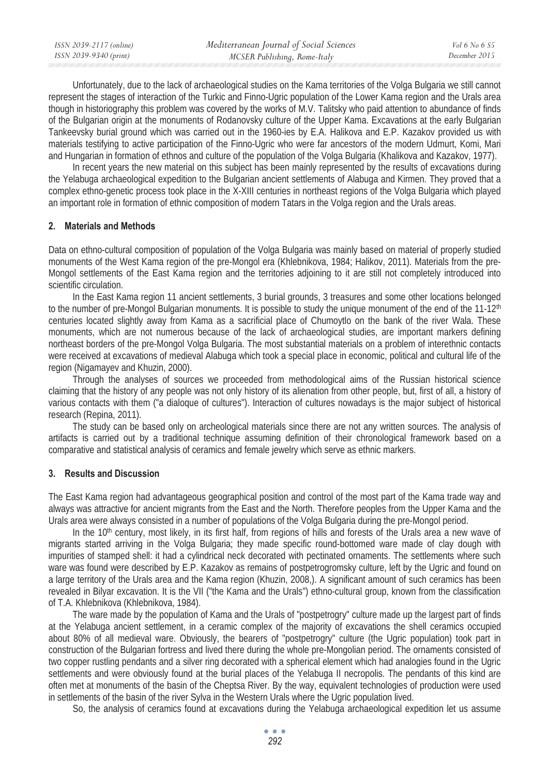| ISSN 2039-2117 (online) | Mediterranean Journal of Social Sciences | Vol 6 No 6 S5 |
|-------------------------|------------------------------------------|---------------|
| ISSN 2039-9340 (print)  | MCSER Publishing, Rome-Italy             | December 2015 |

Unfortunately, due to the lack of archaeological studies on the Kama territories of the Volga Bulgaria we still cannot represent the stages of interaction of the Turkic and Finno-Ugric population of the Lower Kama region and the Urals area though in historiography this problem was covered by the works of M.V. Talitsky who paid attention to abundance of finds of the Bulgarian origin at the monuments of Rodanovsky culture of the Upper Kama. Excavations at the early Bulgarian Tankeevsky burial ground which was carried out in the 1960-ies by E.A. Halikova and E.P. Kazakov provided us with materials testifying to active participation of the Finno-Ugric who were far ancestors of the modern Udmurt, Komi, Mari and Hungarian in formation of ethnos and culture of the population of the Volga Bulgaria (Khalikova and Kazakov, 1977).

In recent years the new material on this subject has been mainly represented by the results of excavations during the Yelabuga archaeological expedition to the Bulgarian ancient settlements of Alabuga and Kirmen. They proved that a complex ethno-genetic process took place in the X-XIII centuries in northeast regions of the Volga Bulgaria which played an important role in formation of ethnic composition of modern Tatars in the Volga region and the Urals areas.

### **2. Materials and Methods**

Data on ethno-cultural composition of population of the Volga Bulgaria was mainly based on material of properly studied monuments of the West Kama region of the pre-Mongol era (Khlebnikova, 1984; Halikov, 2011). Materials from the pre-Mongol settlements of the East Kama region and the territories adjoining to it are still not completely introduced into scientific circulation.

In the East Kama region 11 ancient settlements, 3 burial grounds, 3 treasures and some other locations belonged to the number of pre-Mongol Bulgarian monuments. It is possible to study the unique monument of the end of the 11-12<sup>th</sup> centuries located slightly away from Kama as a sacrificial place of Chumoytlo on the bank of the river Wala. These monuments, which are not numerous because of the lack of archaeological studies, are important markers defining northeast borders of the pre-Mongol Volga Bulgaria. The most substantial materials on a problem of interethnic contacts were received at excavations of medieval Alabuga which took a special place in economic, political and cultural life of the region (Nigamayev and Khuzin, 2000).

Through the analyses of sources we proceeded from methodological aims of the Russian historical science claiming that the history of any people was not only history of its alienation from other people, but, first of all, a history of various contacts with them ("a dialoque of cultures"). Interaction of cultures nowadays is the major subject of historical research (Repina, 2011).

The study can be based only on archeological materials since there are not any written sources. The analysis of artifacts is carried out by a traditional technique assuming definition of their chronological framework based on a comparative and statistical analysis of ceramics and female jewelry which serve as ethnic markers.

## **3. Results and Discussion**

The East Kama region had advantageous geographical position and control of the most part of the Kama trade way and always was attractive for ancient migrants from the East and the North. Therefore peoples from the Upper Kama and the Urals area were always consisted in a number of populations of the Volga Bulgaria during the pre-Mongol period.

In the 10<sup>th</sup> century, most likely, in its first half, from regions of hills and forests of the Urals area a new wave of migrants started arriving in the Volga Bulgaria; they made specific round-bottomed ware made of clay dough with impurities of stamped shell: it had a cylindrical neck decorated with pectinated ornaments. The settlements where such ware was found were described by E.P. Kazakov as remains of postpetrogromsky culture, left by the Ugric and found on a large territory of the Urals area and the Kama region (Khuzin, 2008,). A significant amount of such ceramics has been revealed in Bilyar excavation. It is the VII ("the Kama and the Urals") ethno-cultural group, known from the classification of T.A. Khlebnikova (Khlebnikova, 1984).

The ware made by the population of Kama and the Urals of "postpetrogry" culture made up the largest part of finds at the Yelabuga ancient settlement, in a ceramic complex of the majority of excavations the shell ceramics occupied about 80% of all medieval ware. Obviously, the bearers of "postpetrogry" culture (the Ugric population) took part in construction of the Bulgarian fortress and lived there during the whole pre-Mongolian period. The ornaments consisted of two copper rustling pendants and a silver ring decorated with a spherical element which had analogies found in the Ugric settlements and were obviously found at the burial places of the Yelabuga II necropolis. The pendants of this kind are often met at monuments of the basin of the Cheptsa River. By the way, equivalent technologies of production were used in settlements of the basin of the river Sylva in the Western Urals where the Ugric population lived.

So, the analysis of ceramics found at excavations during the Yelabuga archaeological expedition let us assume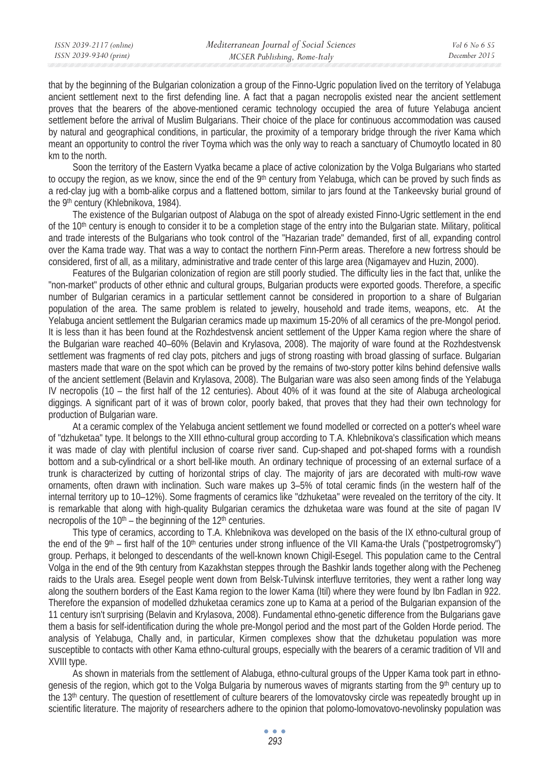that by the beginning of the Bulgarian colonization a group of the Finno-Ugric population lived on the territory of Yelabuga ancient settlement next to the first defending line. A fact that a pagan necropolis existed near the ancient settlement proves that the bearers of the above-mentioned ceramic technology occupied the area of future Yelabuga ancient settlement before the arrival of Muslim Bulgarians. Their choice of the place for continuous accommodation was caused by natural and geographical conditions, in particular, the proximity of a temporary bridge through the river Kama which meant an opportunity to control the river Toyma which was the only way to reach a sanctuary of Chumoytlo located in 80 km to the north.

Soon the territory of the Eastern Vyatka became a place of active colonization by the Volga Bulgarians who started to occupy the region, as we know, since the end of the 9<sup>th</sup> century from Yelabuga, which can be proved by such finds as a red-clay jug with a bomb-alike corpus and a flattened bottom, similar to jars found at the Tankeevsky burial ground of the 9<sup>th</sup> century (Khlebnikova, 1984).

The existence of the Bulgarian outpost of Alabuga on the spot of already existed Finno-Ugric settlement in the end of the 10th century is enough to consider it to be a completion stage of the entry into the Bulgarian state. Military, political and trade interests of the Bulgarians who took control of the "Hazarian trade" demanded, first of all, expanding control over the Kama trade way. That was a way to contact the northern Finn-Perm areas. Therefore a new fortress should be considered, first of all, as a military, administrative and trade center of this large area (Nigamayev and Huzin, 2000).

Features of the Bulgarian colonization of region are still poorly studied. The difficulty lies in the fact that, unlike the "non-market" products of other ethnic and cultural groups, Bulgarian products were exported goods. Therefore, a specific number of Bulgarian ceramics in a particular settlement cannot be considered in proportion to a share of Bulgarian population of the area. The same problem is related to jewelry, household and trade items, weapons, etc. At the Yelabuga ancient settlement the Bulgarian ceramics made up maximum 15-20% of all ceramics of the pre-Mongol period. It is less than it has been found at the Rozhdestvensk ancient settlement of the Upper Kama region where the share of the Bulgarian ware reached 40–60% (Belavin and Krylasova, 2008). The majority of ware found at the Rozhdestvensk settlement was fragments of red clay pots, pitchers and jugs of strong roasting with broad glassing of surface. Bulgarian masters made that ware on the spot which can be proved by the remains of two-story potter kilns behind defensive walls of the ancient settlement (Belavin and Krylasova, 2008). The Bulgarian ware was also seen among finds of the Yelabuga IV necropolis (10 – the first half of the 12 centuries). About 40% of it was found at the site of Alabuga archeological diggings. A significant part of it was of brown color, poorly baked, that proves that they had their own technology for production of Bulgarian ware.

At a ceramic complex of the Yelabuga ancient settlement we found modelled or corrected on a potter's wheel ware of "dzhuketaa" type. It belongs to the XIII ethno-cultural group according to T.A. Khlebnikova's classification which means it was made of clay with plentiful inclusion of coarse river sand. Cup-shaped and pot-shaped forms with a roundish bottom and a sub-cylindrical or a short bell-like mouth. An ordinary technique of processing of an external surface of a trunk is characterized by cutting of horizontal strips of clay. The majority of jars are decorated with multi-row wave ornaments, often drawn with inclination. Such ware makes up 3–5% of total ceramic finds (in the western half of the internal territory up to 10–12%). Some fragments of ceramics like "dzhuketaa" were revealed on the territory of the city. It is remarkable that along with high-quality Bulgarian ceramics the dzhuketaa ware was found at the site of pagan IV necropolis of the  $10^{th}$  – the beginning of the  $12^{th}$  centuries.

This type of ceramics, according to T.A. Khlebnikova was developed on the basis of the IX ethno-cultural group of the end of the 9<sup>th</sup> – first half of the 10<sup>th</sup> centuries under strong influence of the VII Kama-the Urals ("postpetrogromsky") group. Perhaps, it belonged to descendants of the well-known known Chigil-Esegel. This population came to the Central Volga in the end of the 9th century from Kazakhstan steppes through the Bashkir lands together along with the Pecheneg raids to the Urals area. Esegel people went down from Belsk-Tulvinsk interfluve territories, they went a rather long way along the southern borders of the East Kama region to the lower Kama (Itil) where they were found by Ibn Fadlan in 922. Therefore the expansion of modelled dzhuketaa ceramics zone up to Kama at a period of the Bulgarian expansion of the 11 century isn't surprising (Belavin and Krylasova, 2008). Fundamental ethno-genetic difference from the Bulgarians gave them a basis for self-identification during the whole pre-Mongol period and the most part of the Golden Horde period. The analysis of Yelabuga, Chally and, in particular, Kirmen complexes show that the dzhuketau population was more susceptible to contacts with other Kama ethno-cultural groups, especially with the bearers of a ceramic tradition of VII and XVIII type.

As shown in materials from the settlement of Alabuga, ethno-cultural groups of the Upper Kama took part in ethnogenesis of the region, which got to the Volga Bulgaria by numerous waves of migrants starting from the 9th century up to the 13<sup>th</sup> century. The question of resettlement of culture bearers of the lomovatovsky circle was repeatedly brought up in scientific literature. The majority of researchers adhere to the opinion that polomo-lomovatovo-nevolinsky population was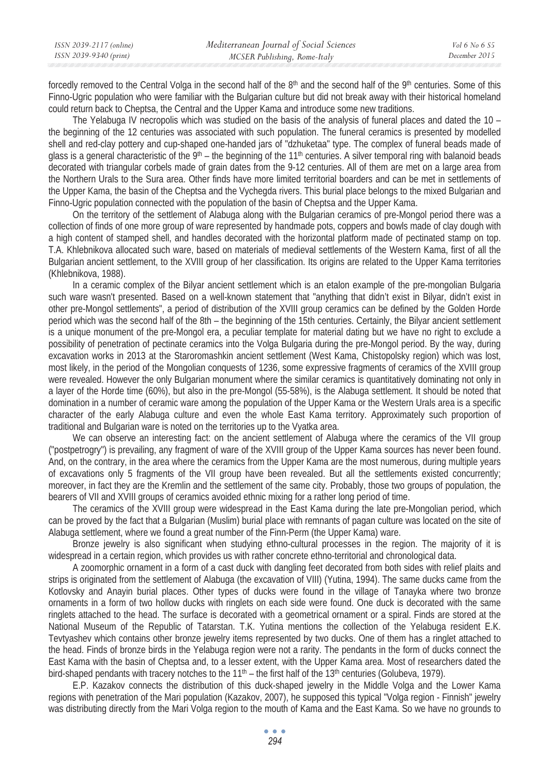| ISSN 2039-2117 (online) | Mediterranean Journal of Social Sciences | <i>Vol</i> 6 No 6 S5 |
|-------------------------|------------------------------------------|----------------------|
| ISSN 2039-9340 (print)  | MCSER Publishing, Rome-Italy             | December 2015        |

forcedly removed to the Central Volga in the second half of the  $8<sup>th</sup>$  and the second half of the 9<sup>th</sup> centuries. Some of this Finno-Ugric population who were familiar with the Bulgarian culture but did not break away with their historical homeland could return back to Cheptsa, the Central and the Upper Kama and introduce some new traditions.

The Yelabuga IV necropolis which was studied on the basis of the analysis of funeral places and dated the 10 – the beginning of the 12 centuries was associated with such population. The funeral ceramics is presented by modelled shell and red-clay pottery and cup-shaped one-handed jars of "dzhuketaa" type. The complex of funeral beads made of glass is a general characteristic of the 9<sup>th</sup> – the beginning of the 11<sup>th</sup> centuries. A silver temporal ring with balanoid beads decorated with triangular corbels made of grain dates from the 9-12 centuries. All of them are met on a large area from the Northern Urals to the Sura area. Other finds have more limited territorial boarders and can be met in settlements of the Upper Kama, the basin of the Cheptsa and the Vychegda rivers. This burial place belongs to the mixed Bulgarian and Finno-Ugric population connected with the population of the basin of Cheptsa and the Upper Kama.

On the territory of the settlement of Alabuga along with the Bulgarian ceramics of pre-Mongol period there was a collection of finds of one more group of ware represented by handmade pots, coppers and bowls made of clay dough with a high content of stamped shell, and handles decorated with the horizontal platform made of pectinated stamp on top. T.A. Khlebnikova allocated such ware, based on materials of medieval settlements of the Western Kama, first of all the Bulgarian ancient settlement, to the XVIII group of her classification. Its origins are related to the Upper Kama territories (Khlebnikova, 1988).

In a ceramic complex of the Bilyar ancient settlement which is an etalon example of the pre-mongolian Bulgaria such ware wasn't presented. Based on a well-known statement that "anything that didn't exist in Bilyar, didn't exist in other pre-Mongol settlements", a period of distribution of the XVIII group ceramics can be defined by the Golden Horde period which was the second half of the 8th – the beginning of the 15th centuries. Certainly, the Bilyar ancient settlement is a unique monument of the pre-Mongol era, a peculiar template for material dating but we have no right to exclude a possibility of penetration of pectinate ceramics into the Volga Bulgaria during the pre-Mongol period. By the way, during excavation works in 2013 at the Staroromashkin ancient settlement (West Kama, Chistopolsky region) which was lost, most likely, in the period of the Mongolian conquests of 1236, some expressive fragments of ceramics of the XVIII group were revealed. However the only Bulgarian monument where the similar ceramics is quantitatively dominating not only in a layer of the Horde time (60%), but also in the pre-Mongol (55-58%), is the Alabuga settlement. It should be noted that domination in a number of ceramic ware among the population of the Upper Kama or the Western Urals area is a specific character of the early Alabuga culture and even the whole East Kama territory. Approximately such proportion of traditional and Bulgarian ware is noted on the territories up to the Vyatka area.

We can observe an interesting fact: on the ancient settlement of Alabuga where the ceramics of the VII group ("postpetrogry") is prevailing, any fragment of ware of the XVIII group of the Upper Kama sources has never been found. And, on the contrary, in the area where the ceramics from the Upper Kama are the most numerous, during multiple years of excavations only 5 fragments of the VII group have been revealed. But all the settlements existed concurrently; moreover, in fact they are the Kremlin and the settlement of the same city. Probably, those two groups of population, the bearers of VII and XVIII groups of ceramics avoided ethnic mixing for a rather long period of time.

The ceramics of the XVIII group were widespread in the East Kama during the late pre-Mongolian period, which can be proved by the fact that a Bulgarian (Muslim) burial place with remnants of pagan culture was located on the site of Alabuga settlement, where we found a great number of the Finn-Perm (the Upper Kama) ware.

Bronze jewelry is also significant when studying ethno-cultural processes in the region. The majority of it is widespread in a certain region, which provides us with rather concrete ethno-territorial and chronological data.

A zoomorphic ornament in a form of a cast duck with dangling feet decorated from both sides with relief plaits and strips is originated from the settlement of Alabuga (the excavation of VIII) (Yutina, 1994). The same ducks came from the Kotlovsky and Anayin burial places. Other types of ducks were found in the village of Tanayka where two bronze ornaments in a form of two hollow ducks with ringlets on each side were found. One duck is decorated with the same ringlets attached to the head. The surface is decorated with a geometrical ornament or a spiral. Finds are stored at the National Museum of the Republic of Tatarstan. T.K. Yutina mentions the collection of the Yelabuga resident E.K. Tevtyashev which contains other bronze jewelry items represented by two ducks. One of them has a ringlet attached to the head. Finds of bronze birds in the Yelabuga region were not a rarity. The pendants in the form of ducks connect the East Kama with the basin of Cheptsa and, to a lesser extent, with the Upper Kama area. Most of researchers dated the bird-shaped pendants with tracery notches to the  $11<sup>th</sup>$  – the first half of the  $13<sup>th</sup>$  centuries (Golubeva, 1979).

E.P. Kazakov connects the distribution of this duck-shaped jewelry in the Middle Volga and the Lower Kama regions with penetration of the Mari population (Kazakov, 2007), he supposed this typical "Volga region - Finnish" jewelry was distributing directly from the Mari Volga region to the mouth of Kama and the East Kama. So we have no grounds to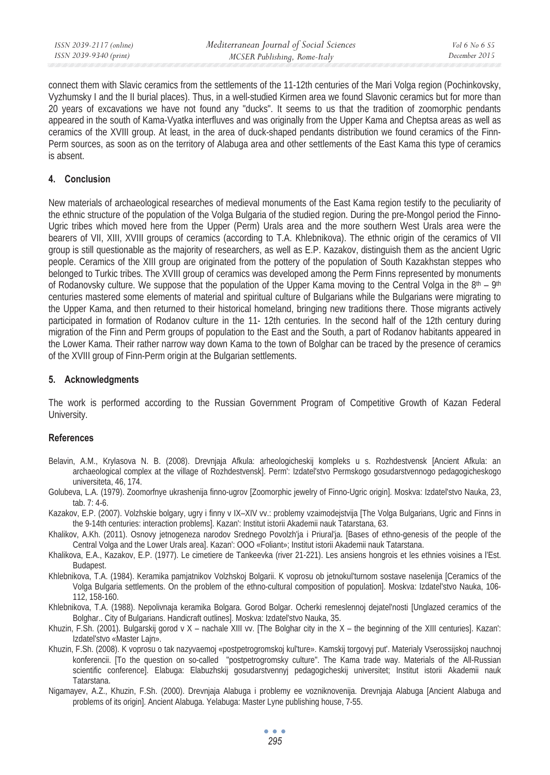connect them with Slavic ceramics from the settlements of the 11-12th centuries of the Mari Volga region (Pochinkovsky, Vyzhumsky I and the II burial places). Thus, in a well-studied Kirmen area we found Slavonic ceramics but for more than 20 years of excavations we have not found any "ducks". It seems to us that the tradition of zoomorphic pendants appeared in the south of Kama-Vyatka interfluves and was originally from the Upper Kama and Cheptsa areas as well as ceramics of the XVIII group. At least, in the area of duck-shaped pendants distribution we found ceramics of the Finn-Perm sources, as soon as on the territory of Alabuga area and other settlements of the East Kama this type of ceramics is absent.

## **4. Conclusion**

New materials of archaeological researches of medieval monuments of the East Kama region testify to the peculiarity of the ethnic structure of the population of the Volga Bulgaria of the studied region. During the pre-Mongol period the Finno-Ugric tribes which moved here from the Upper (Perm) Urals area and the more southern West Urals area were the bearers of VII, XIII, XVIII groups of ceramics (according to T.A. Khlebnikova). The ethnic origin of the ceramics of VII group is still questionable as the majority of researchers, as well as E.P. Kazakov, distinguish them as the ancient Ugric people. Ceramics of the XIII group are originated from the pottery of the population of South Kazakhstan steppes who belonged to Turkic tribes. The XVIII group of ceramics was developed among the Perm Finns represented by monuments of Rodanovsky culture. We suppose that the population of the Upper Kama moving to the Central Volga in the  $8<sup>th</sup> - 9<sup>th</sup>$ centuries mastered some elements of material and spiritual culture of Bulgarians while the Bulgarians were migrating to the Upper Kama, and then returned to their historical homeland, bringing new traditions there. Those migrants actively participated in formation of Rodanov culture in the 11- 12th centuries. In the second half of the 12th century during migration of the Finn and Perm groups of population to the East and the South, a part of Rodanov habitants appeared in the Lower Kama. Their rather narrow way down Kama to the town of Bolghar can be traced by the presence of ceramics of the XVIII group of Finn-Perm origin at the Bulgarian settlements.

## **5. Acknowledgments**

The work is performed according to the Russian Government Program of Competitive Growth of Kazan Federal University.

### **References**

- Belavin, A.M., Krylasova N. B. (2008). Drevnjaja Afkula: arheologicheskij kompleks u s. Rozhdestvensk [Ancient Afkula: an archaeological complex at the village of Rozhdestvensk]. Perm': Izdatel'stvo Permskogo gosudarstvennogo pedagogicheskogo universiteta, 46, 174.
- Golubeva, L.A. (1979). Zoomorfnye ukrashenija finno-ugrov [Zoomorphic jewelry of Finno-Ugric origin]. Moskva: Izdatel'stvo Nauka, 23, tab. 7: 4-6.
- Kazakov, E.P. (2007). Volzhskie bolgary, ugry i finny v IX–XIV vv.: problemy vzaimodejstvija [The Volga Bulgarians, Ugric and Finns in the 9-14th centuries: interaction problems]. Kazan': Institut istorii Akademii nauk Tatarstana, 63.
- Khalikov, A.Kh. (2011). Osnovy jetnogeneza narodov Srednego Povolzh'ja i Priural'ja. [Bases of ethno-genesis of the people of the Central Volga and the Lower Urals area]. Kazan': OOO «Foliant»; Institut istorii Akademii nauk Tatarstana.
- Khalikova, E.A., Kazakov, E.P. (1977). Le cimetiere de Tankeevka (river 21-221). Les ansiens hongrois et les ethnies voisines a l'Est. Budapest.
- Khlebnikova, T.A. (1984). Keramika pamjatnikov Volzhskoj Bolgarii. K voprosu ob jetnokul'turnom sostave naselenija [Ceramics of the Volga Bulgaria settlements. On the problem of the ethno-cultural composition of population]. Moskva: Izdatel'stvo Nauka, 106- 112, 158-160.
- Khlebnikova, T.A. (1988). Nepolivnaja keramika Bolgara. Gorod Bolgar. Ocherki remeslennoj dejatel'nosti [Unglazed ceramics of the Bolghar.. City of Bulgarians. Handicraft outlines]. Moskva: Izdatel'stvo Nauka, 35.
- Khuzin, F.Sh. (2001). Bulgarskij gorod v X nachale XIII vv. [The Bolghar city in the X the beginning of the XIII centuries]. Kazan': Izdatel'stvo «Master Lajn».
- Khuzin, F.Sh. (2008). K voprosu o tak nazyvaemoj «postpetrogromskoj kul'ture». Kamskij torgovyj put'. Materialy Vserossijskoj nauchnoj konferencii. [To the question on so-called "postpetrogromsky culture". The Kama trade way. Materials of the All-Russian scientific conference]. Elabuga: Elabuzhskij gosudarstvennyj pedagogicheskij universitet; Institut istorii Akademii nauk Tatarstana.
- Nigamayev, A.Z., Khuzin, F.Sh. (2000). Drevnjaja Alabuga i problemy ee vozniknovenija. Drevnjaja Alabuga [Ancient Alabuga and problems of its origin]. Ancient Alabuga. Yelabuga: Master Lyne publishing house, 7-55.